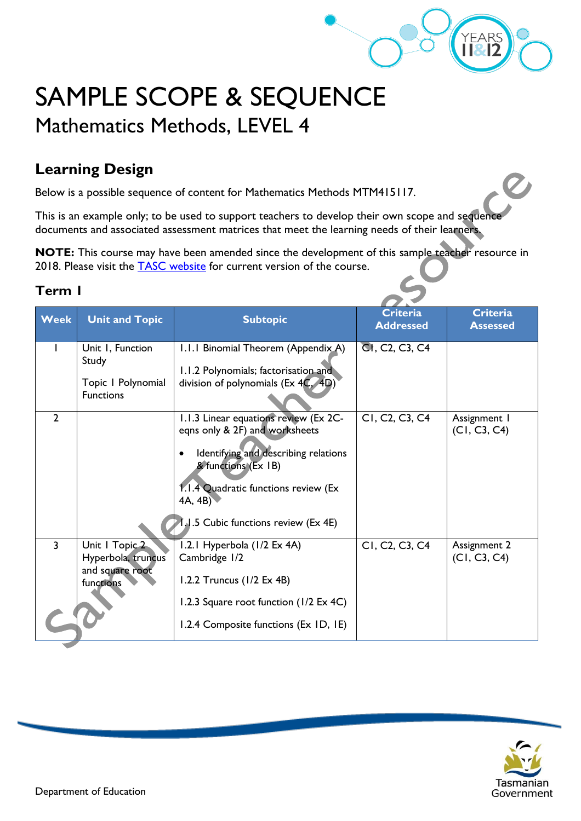

# SAMPLE SCOPE & SEQUENCE Mathematics Methods, LEVEL 4

# **Learning Design**

Below is a possible sequence of content for Mathematics Methods MTM415117.

This is an example only; to be used to support teachers to develop their own scope and sequence documents and associated assessment matrices that meet the learning needs of their learners.

**NOTE:** This course may have been amended since the development of this sample teacher resource in 2018. Please visit the **TASC** website for current version of the course.

#### **Term 1**

| <b>Week</b>    | <b>Unit and Topic</b>                                                | <b>Subtopic</b>                                                                                                                                                                                                                  | <b>Criteria</b><br><b>Addressed</b>                  | <b>Criteria</b><br><b>Assessed</b> |
|----------------|----------------------------------------------------------------------|----------------------------------------------------------------------------------------------------------------------------------------------------------------------------------------------------------------------------------|------------------------------------------------------|------------------------------------|
|                | Unit I, Function<br>Study<br>Topic I Polynomial<br><b>Functions</b>  | 1.1.1 Binomial Theorem (Appendix A)<br>1.1.2 Polynomials; factorisation and<br>division of polynomials ( $Ex 4C$ , $4D$ )                                                                                                        | CI, C <sub>2</sub> , C <sub>3</sub> , C <sub>4</sub> |                                    |
| $\overline{2}$ |                                                                      | 1.1.3 Linear equations review (Ex 2C-<br>eqns only & 2F) and worksheets<br>Identifying and describing relations<br>& functions (Ex 1B)<br>1.1.4 Quadratic functions review (Ex<br>4A, 4B<br>1.1.5 Cubic functions review (Ex 4E) | CI, C2, C3, C4                                       | Assignment I<br>(C1, C3, C4)       |
| $\overline{3}$ | Unit   Topic 2<br>Hyperbola, truncus<br>and square root<br>functions | 1.2.1 Hyperbola (1/2 Ex 4A)<br>Cambridge 1/2<br>1.2.2 Truncus $(1/2 \text{ Ex } 4\text{B})$<br>1.2.3 Square root function (1/2 Ex 4C)<br>1.2.4 Composite functions (Ex ID, IE)                                                   | CI, C <sub>2</sub> , C <sub>3</sub> , C <sub>4</sub> | Assignment 2<br>(C1, C3, C4)       |

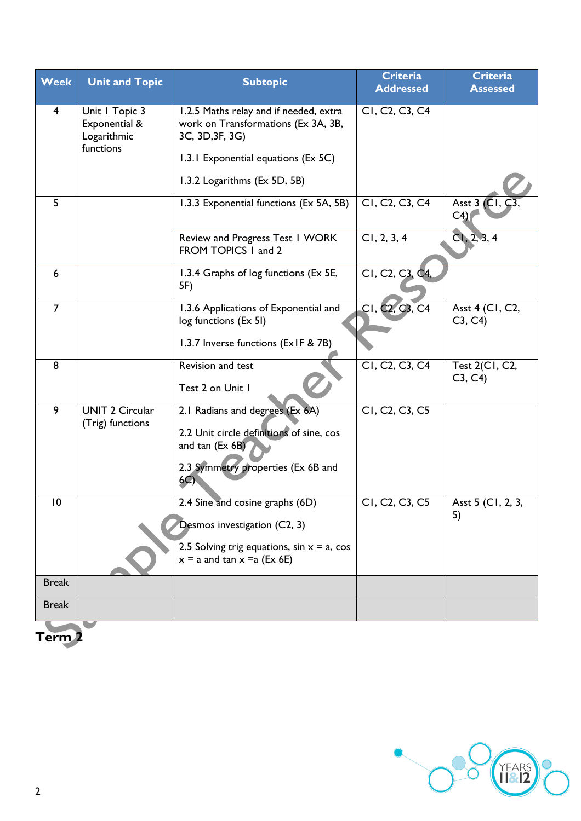| <b>Week</b>     | <b>Unit and Topic</b>                          | <b>Subtopic</b>                                                                                                                            | <b>Criteria</b><br><b>Addressed</b>                  | <b>Criteria</b><br><b>Assessed</b> |
|-----------------|------------------------------------------------|--------------------------------------------------------------------------------------------------------------------------------------------|------------------------------------------------------|------------------------------------|
| $\overline{4}$  | Unit   Topic 3<br>Exponential &<br>Logarithmic | 1.2.5 Maths relay and if needed, extra<br>work on Transformations (Ex 3A, 3B,<br>3C, 3D, 3F, 3G)                                           | CI, C <sub>2</sub> , C <sub>3</sub> , C <sub>4</sub> |                                    |
|                 | functions                                      | 1.3.1 Exponential equations (Ex 5C)                                                                                                        |                                                      |                                    |
|                 |                                                | 1.3.2 Logarithms (Ex 5D, 5B)                                                                                                               |                                                      |                                    |
| 5               |                                                | 1.3.3 Exponential functions (Ex 5A, 5B)                                                                                                    | CI, C <sub>2</sub> , C <sub>3</sub> , C <sub>4</sub> | Asst 3 (CI, C)<br>C <sub>4</sub>   |
|                 |                                                | Review and Progress Test I WORK<br>FROM TOPICS I and 2                                                                                     | CI, 2, 3, 4                                          | Cl, 2, 3, 4                        |
| $6\phantom{1}6$ |                                                | 1.3.4 Graphs of log functions (Ex 5E,<br>5F)                                                                                               | CI, C2, C3,                                          |                                    |
| $\overline{7}$  |                                                | 1.3.6 Applications of Exponential and<br>log functions (Ex 51)                                                                             | CI, C <sub>2</sub> , C <sub>3</sub> , C <sub>4</sub> | Asst 4 (C1, C2,<br>C3, C4          |
|                 |                                                | 1.3.7 Inverse functions (ExIF & 7B)                                                                                                        |                                                      |                                    |
| 8               |                                                | Revision and test<br>Test 2 on Unit 1                                                                                                      | CI, C <sub>2</sub> , C <sub>3</sub> , C <sub>4</sub> | Test 2(C1, C2,<br>C3, C4           |
| 9               | <b>UNIT 2 Circular</b><br>(Trig) functions     | 2.1 Radians and degrees (Ex 6A)<br>2.2 Unit circle definitions of sine, cos<br>and tan (Ex 6B)<br>2.3 Symmetry properties (Ex 6B and<br>6C | CI, C <sub>2</sub> , C <sub>3</sub> , C <sub>5</sub> |                                    |
| $\overline{10}$ |                                                | 2.4 Sine and cosine graphs (6D)                                                                                                            | CI. C <sub>2</sub> . C <sub>3</sub> . C <sub>5</sub> | Asst 5 (C1, 2, 3,                  |
|                 |                                                | Desmos investigation (C2, 3)                                                                                                               |                                                      | 5)                                 |
|                 |                                                | 2.5 Solving trig equations, $sin x = a$ , $cos$<br>$x = a$ and tan $x = a$ (Ex 6E)                                                         |                                                      |                                    |
| <b>Break</b>    |                                                |                                                                                                                                            |                                                      |                                    |
| <b>Break</b>    |                                                |                                                                                                                                            |                                                      |                                    |
| Term 2          |                                                |                                                                                                                                            |                                                      |                                    |

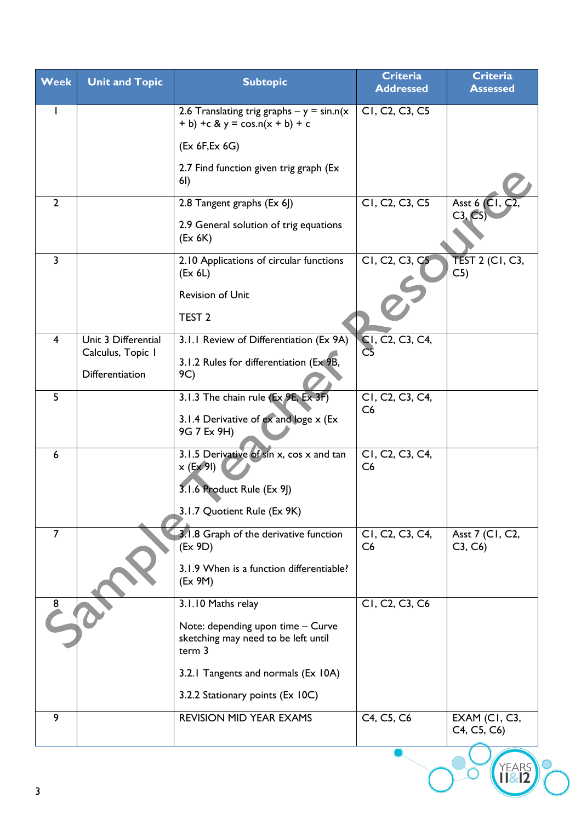| <b>Week</b>    | <b>Unit and Topic</b>                    | <b>Subtopic</b>                                                                    | <b>Criteria</b><br><b>Addressed</b>                  | <b>Criteria</b><br><b>Assessed</b> |
|----------------|------------------------------------------|------------------------------------------------------------------------------------|------------------------------------------------------|------------------------------------|
|                |                                          | 2.6 Translating trig graphs $- y = sin.n(x)$<br>+ b) +c & y = cos.n(x + b) + c     | CI, C <sub>2</sub> , C <sub>3</sub> , C <sub>5</sub> |                                    |
|                |                                          | (EX 6F, Ex 6G)                                                                     |                                                      |                                    |
|                |                                          | 2.7 Find function given trig graph (Ex<br>6I)                                      |                                                      |                                    |
| $\overline{2}$ |                                          | 2.8 Tangent graphs (Ex 6J)                                                         | CI, C <sub>2</sub> , C <sub>3</sub> , C <sub>5</sub> | Asst 6 $(C1, C2)$<br>C3, C5)       |
|                |                                          | 2.9 General solution of trig equations<br>(EX 6K)                                  |                                                      |                                    |
| $\overline{3}$ |                                          | 2.10 Applications of circular functions<br>(EX 6L)                                 | CI, C <sub>2</sub> , C <sub>3</sub> , C <sub>5</sub> | <b>TEST 2 (CI, C3,</b><br>C5)      |
|                |                                          | <b>Revision of Unit</b>                                                            |                                                      |                                    |
|                |                                          | TEST <sub>2</sub>                                                                  |                                                      |                                    |
| $\overline{4}$ | Unit 3 Differential<br>Calculus, Topic I | 3.1.1 Review of Differentiation (Ex 9A)                                            | CI, C2, C3, C4,                                      |                                    |
|                | Differentiation                          | 3.1.2 Rules for differentiation (Ex 9B,<br>9C)                                     |                                                      |                                    |
| 5              |                                          | 3.1.3 The chain rule (Ex 9E, Ex 3F)                                                | CI, C2, C3, C4,<br>C6                                |                                    |
|                |                                          | 3.1.4 Derivative of ex and loge x (Ex<br>9G 7 Ex 9H)                               |                                                      |                                    |
| 6              |                                          | 3.1.5 Derivative of sin x, cos x and tan<br>$x$ (Ex 9I)                            | C1, C2, C3, C4,<br>C6                                |                                    |
|                |                                          | 3.1.6 Product Rule (Ex 9])<br>3.1.7 Quotient Rule (Ex 9K)                          |                                                      |                                    |
| $\overline{7}$ |                                          | 3.1.8 Graph of the derivative function                                             | C1, C2, C3, C4,                                      | Asst 7 (C1, C2,                    |
|                |                                          | (EX 9D)                                                                            | C6                                                   | C3, C6                             |
|                |                                          | 3.1.9 When is a function differentiable?<br>(EX 9M)                                |                                                      |                                    |
| $\frac{8}{3}$  |                                          | 3.1.10 Maths relay                                                                 | CI, C2, C3, C6                                       |                                    |
|                |                                          | Note: depending upon time - Curve<br>sketching may need to be left until<br>term 3 |                                                      |                                    |
|                |                                          | 3.2.1 Tangents and normals (Ex 10A)                                                |                                                      |                                    |
|                |                                          | 3.2.2 Stationary points (Ex 10C)                                                   |                                                      |                                    |
| 9              |                                          | <b>REVISION MID YEAR EXAMS</b>                                                     | C4, C5, C6                                           | EXAM (CI, C3,<br>C4, C5, C6)       |
|                |                                          |                                                                                    |                                                      |                                    |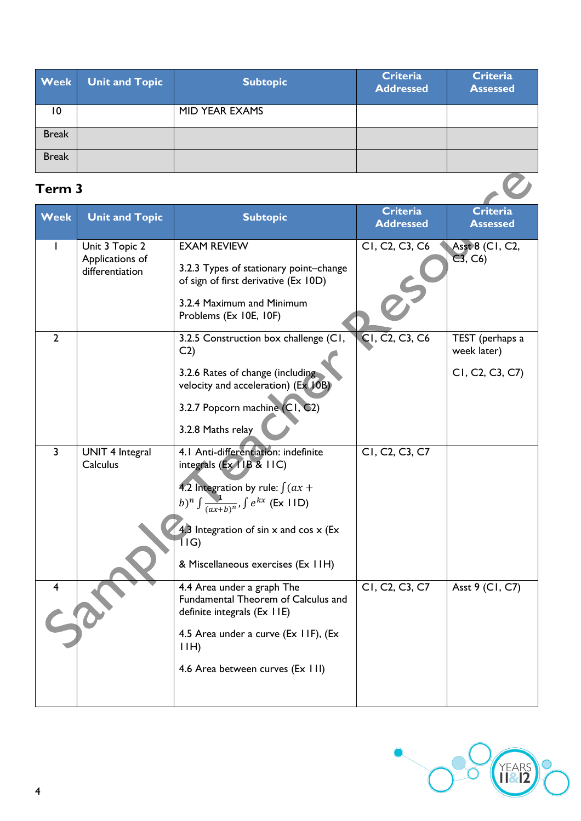| <b>Week</b>  | <b>Unit and Topic</b> | <b>Subtopic</b> | <b>Criteria</b><br><b>Addressed</b> | <b>Criteria</b><br><b>Assessed</b> |
|--------------|-----------------------|-----------------|-------------------------------------|------------------------------------|
| 10           |                       | MID YEAR EXAMS  |                                     |                                    |
| <b>Break</b> |                       |                 |                                     |                                    |
| <b>Break</b> |                       |                 |                                     |                                    |

## **Term 3**

| Term 3         |                                                      |                                                                                                                                                                                                                                                                               |                                                      |                                                   |
|----------------|------------------------------------------------------|-------------------------------------------------------------------------------------------------------------------------------------------------------------------------------------------------------------------------------------------------------------------------------|------------------------------------------------------|---------------------------------------------------|
| <b>Week</b>    | <b>Unit and Topic</b>                                | <b>Subtopic</b>                                                                                                                                                                                                                                                               | <b>Criteria</b><br><b>Addressed</b>                  | <b>Criteria</b><br><b>Assessed</b>                |
|                | Unit 3 Topic 2<br>Applications of<br>differentiation | <b>EXAM REVIEW</b><br>3.2.3 Types of stationary point-change<br>of sign of first derivative (Ex 10D)<br>3.2.4 Maximum and Minimum<br>Problems (Ex 10E, 10F)                                                                                                                   | CI, C <sub>2</sub> , C <sub>3</sub> , C <sub>6</sub> | Asst 8 (C1, C2,<br>C3, C6                         |
| $\overline{2}$ |                                                      | 3.2.5 Construction box challenge (C1,<br>C <sub>2</sub><br>3.2.6 Rates of change (including<br>velocity and acceleration) (Ex 10B)<br>3.2.7 Popcorn machine (C1, C2)<br>3.2.8 Maths relay                                                                                     | CI, C2, C3, C6                                       | TEST (perhaps a<br>week later)<br>CI, C2, C3, C7) |
| $\overline{3}$ | <b>UNIT 4 Integral</b><br>Calculus                   | 4.1 Anti-differentiation: indefinite<br>integrals (Ex 1IB & 1IC)<br>4.2 Integration by rule: $\int (ax +$<br>b) <sup>n</sup> $\int \frac{1}{(ax+b)^n}$ , $\int e^{kx}$ (Ex IID)<br>4.3 Integration of sin $x$ and cos $x$ (Ex<br>1 I G)<br>& Miscellaneous exercises (Ex 11H) | CI, C <sub>2</sub> , C <sub>3</sub> , C <sub>7</sub> |                                                   |
| 4              |                                                      | 4.4 Area under a graph The<br>Fundamental Theorem of Calculus and<br>definite integrals (Ex 11E)<br>4.5 Area under a curve (Ex IIF), (Ex<br>I(H)<br>4.6 Area between curves (Ex 111)                                                                                          | CI, C2, C3, C7                                       | Asst 9 (CI, C7)                                   |

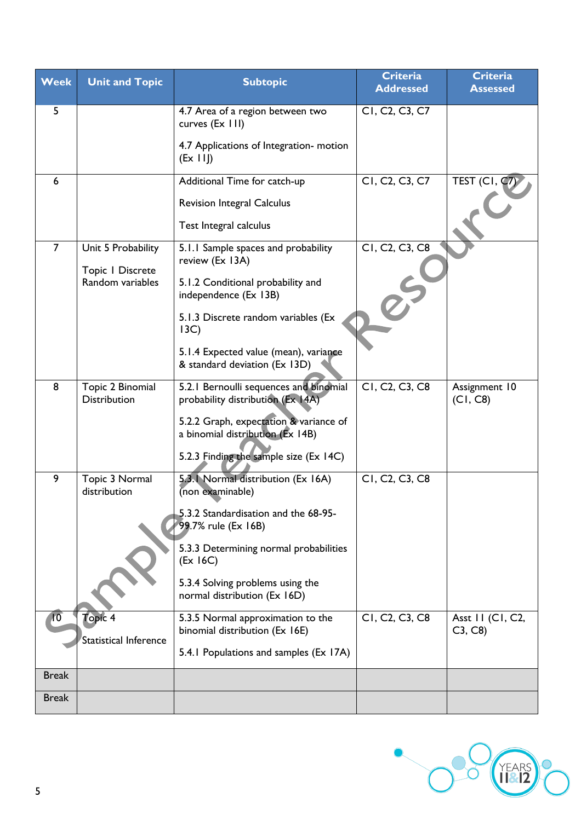| <b>Week</b>     | <b>Unit and Topic</b>                   | <b>Subtopic</b>                                                             | <b>Criteria</b><br><b>Addressed</b>                  | <b>Criteria</b><br><b>Assessed</b> |
|-----------------|-----------------------------------------|-----------------------------------------------------------------------------|------------------------------------------------------|------------------------------------|
| 5               |                                         | 4.7 Area of a region between two<br>curves (Ex 111)                         | CI, C <sub>2</sub> , C <sub>3</sub> , C <sub>7</sub> |                                    |
|                 |                                         | 4.7 Applications of Integration- motion<br>(EX III)                         |                                                      |                                    |
| 6               |                                         | Additional Time for catch-up                                                | CI, C <sub>2</sub> , C <sub>3</sub> , C <sub>7</sub> | TEST (CI, q)                       |
|                 |                                         | <b>Revision Integral Calculus</b>                                           |                                                      |                                    |
|                 |                                         | Test Integral calculus                                                      |                                                      |                                    |
| $\overline{7}$  | Unit 5 Probability                      | 5.1.1 Sample spaces and probability<br>review (Ex 13A)                      | C1, C2, C3, C8                                       |                                    |
|                 | Topic I Discrete<br>Random variables    | 5.1.2 Conditional probability and<br>independence (Ex 13B)                  |                                                      |                                    |
|                 |                                         | 5.1.3 Discrete random variables (Ex<br>13C)                                 |                                                      |                                    |
|                 |                                         | 5.1.4 Expected value (mean), variance<br>& standard deviation (Ex 13D)      |                                                      |                                    |
| 8               | Topic 2 Binomial<br><b>Distribution</b> | 5.2.1 Bernoulli sequences and binomial<br>probability distribution (Ex 14A) | C1, C2, C3, C8                                       | Assignment 10<br>(C1, C8)          |
|                 |                                         | 5.2.2 Graph, expectation & variance of<br>a binomial distribution (Ex 14B)  |                                                      |                                    |
|                 |                                         | 5.2.3 Finding the sample size (Ex 14C)                                      |                                                      |                                    |
| 9               | Topic 3 Normal<br>distribution          | 5.3.1 Normal distribution (Ex 16A)<br>(non examinable)                      | C1, C2, C3, C8                                       |                                    |
|                 |                                         | 5.3.2 Standardisation and the 68-95-<br>99.7% rule (Ex 16B)                 |                                                      |                                    |
|                 |                                         | 5.3.3 Determining normal probabilities<br>(EX 16C)                          |                                                      |                                    |
|                 |                                         | 5.3.4 Solving problems using the<br>normal distribution (Ex 16D)            |                                                      |                                    |
| $\overline{10}$ | Topic 4                                 | 5.3.5 Normal approximation to the<br>binomial distribution (Ex 16E)         | C1, C2, C3, C8                                       | Asst II (CI, C2,<br>C3, C8         |
|                 | Statistical Inference                   | 5.4.1 Populations and samples (Ex 17A)                                      |                                                      |                                    |
| <b>Break</b>    |                                         |                                                                             |                                                      |                                    |
| <b>Break</b>    |                                         |                                                                             |                                                      |                                    |